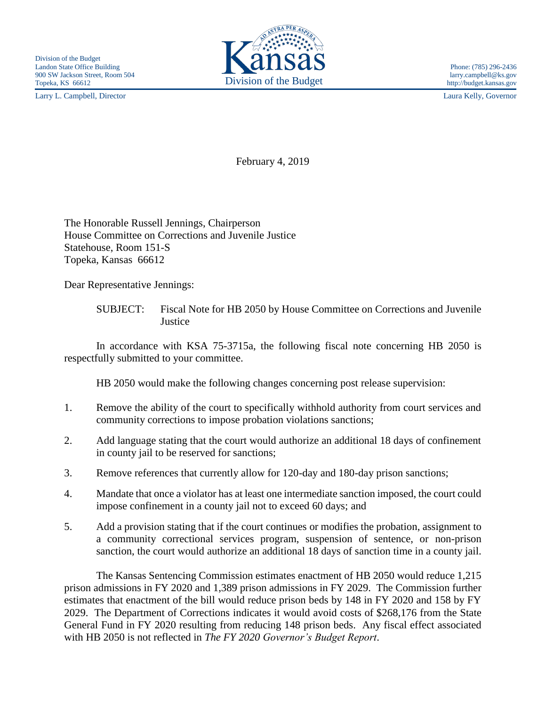Larry L. Campbell, Director Laura Kelly, Governor



February 4, 2019

The Honorable Russell Jennings, Chairperson House Committee on Corrections and Juvenile Justice Statehouse, Room 151-S Topeka, Kansas 66612

Dear Representative Jennings:

SUBJECT: Fiscal Note for HB 2050 by House Committee on Corrections and Juvenile **Justice** 

In accordance with KSA 75-3715a, the following fiscal note concerning HB 2050 is respectfully submitted to your committee.

HB 2050 would make the following changes concerning post release supervision:

- 1. Remove the ability of the court to specifically withhold authority from court services and community corrections to impose probation violations sanctions;
- 2. Add language stating that the court would authorize an additional 18 days of confinement in county jail to be reserved for sanctions;
- 3. Remove references that currently allow for 120-day and 180-day prison sanctions;
- 4. Mandate that once a violator has at least one intermediate sanction imposed, the court could impose confinement in a county jail not to exceed 60 days; and
- 5. Add a provision stating that if the court continues or modifies the probation, assignment to a community correctional services program, suspension of sentence, or non-prison sanction, the court would authorize an additional 18 days of sanction time in a county jail.

The Kansas Sentencing Commission estimates enactment of HB 2050 would reduce 1,215 prison admissions in FY 2020 and 1,389 prison admissions in FY 2029. The Commission further estimates that enactment of the bill would reduce prison beds by 148 in FY 2020 and 158 by FY 2029. The Department of Corrections indicates it would avoid costs of \$268,176 from the State General Fund in FY 2020 resulting from reducing 148 prison beds. Any fiscal effect associated with HB 2050 is not reflected in *The FY 2020 Governor's Budget Report*.